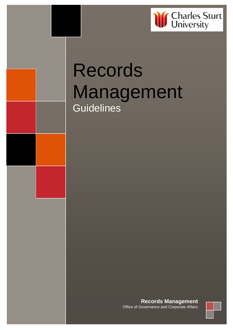

# Records Management **Guidelines**

**Records Management** Office of Governance and Corporate Affairs

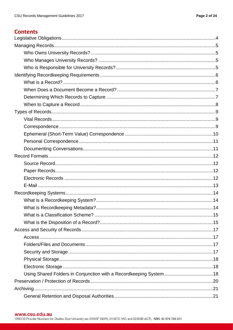# **Contents**

| Using Shared Folders in Conjunction with a Recordkeeping System  18 |
|---------------------------------------------------------------------|
|                                                                     |
|                                                                     |
|                                                                     |

#### www.csu.edu.au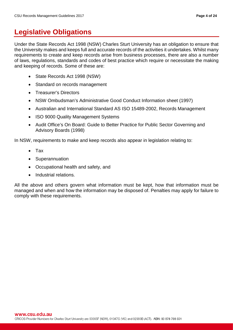# <span id="page-3-0"></span>**Legislative Obligations**

Under the State Records Act 1998 (NSW) Charles Sturt University has an obligation to ensure that the University makes and keeps full and accurate records of the activities it undertakes. Whilst many requirements to create and keep records arise from business processes, there are also a number of laws, regulations, standards and codes of best practice which require or necessitate the making and keeping of records. Some of these are:

- State Records Act 1998 (NSW)
- Standard on records management
- Treasurer's Directors
- NSW Ombudsman's Administrative Good Conduct Information sheet (1997)
- Australian and International Standard AS ISO 15489-2002, Records Management
- ISO 9000 Quality Management Systems
- Audit Office's On Board: Guide to Better Practice for Public Sector Governing and Advisory Boards (1998)

In NSW, requirements to make and keep records also appear in legislation relating to:

- Tax
- Superannuation
- Occupational health and safety, and
- Industrial relations.

All the above and others govern what information must be kept, how that information must be managed and when and how the information may be disposed of. Penalties may apply for failure to comply with these requirements.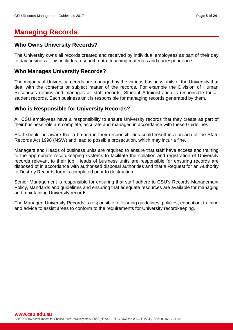# <span id="page-4-0"></span>**Managing Records**

# <span id="page-4-1"></span>**Who Owns University Records?**

The University owns all records created and received by individual employees as part of their day to day business. This includes research data, teaching materials and correspondence.

### <span id="page-4-2"></span>**Who Manages University Records?**

The majority of University records are managed by the various business units of the University that deal with the contents or subject matter of the records. For example the Division of Human Resources retains and manages all staff records, Student Administration is responsible for all student records. Each business unit is responsible for managing records generated by them.

# <span id="page-4-3"></span>**Who is Responsible for University Records?**

All CSU employees have a responsibility to ensure University records that they create as part of their business role are complete, accurate and managed in accordance with these Guidelines.

Staff should be aware that a breach in their responsibilities could result in a breach of the State Records Act 1998 (NSW) and lead to possible prosecution, which may incur a fine.

Managers and Heads of business units are required to ensure that staff have access and training to the appropriate recordkeeping systems to facilitate the collation and registration of University records relevant to their job. Heads of business units are responsible for ensuring records are disposed of in accordance with authorised disposal authorities and that a Request for an [Authority](#page-22-1)  [to Destroy](#page-22-1) Records form is completed prior to destruction.

Senior Management is responsible for ensuring that staff adhere to CSU's Records Management Policy, standards and guidelines and ensuring that adequate resources are available for managing and maintaining University records.

The Manager, University Records is responsible for issuing guidelines, policies, education, training and advice to assist areas to conform to the requirements for University recordkeeping.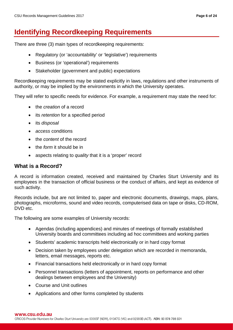# <span id="page-5-0"></span>**Identifying Recordkeeping Requirements**

There are three (3) main types of recordkeeping requirements:

- Regulatory (or 'accountability' or 'legislative') requirements
- Business (or 'operational') requirements
- Stakeholder (government and public) expectations

Recordkeeping requirements may be stated explicitly in laws, regulations and other instruments of authority, or may be implied by the environments in which the University operates.

They will refer to specific needs for evidence. For example, a requirement may state the need for:

- the *creation* of a record
- its *retention* for a specified period
- its *disposal*
- *access* conditions
- the *content* of the record
- the *form* it should be in
- aspects relating to *quality* that it is a 'proper' record

### <span id="page-5-1"></span>**What is a Record?**

A record is information created, received and maintained by Charles Sturt University and its employees in the transaction of official business or the conduct of affairs, and kept as evidence of such activity.

Records include, but are not limited to, paper and electronic documents, drawings, maps, plans, photographs, microforms, sound and video records, computerised data on tape or disks, CD-ROM, DVD etc.

The following are some examples of University records:

- Agendas (including appendices) and minutes of meetings of formally established University boards and committees including ad hoc committees and working parties
- Students' academic transcripts held electronically or in hard copy format
- Decision taken by employees under delegation which are recorded in memoranda, letters, email messages, reports etc.
- Financial transactions held electronically or in hard copy format
- Personnel transactions (letters of appointment, reports on performance and other dealings between employees and the University)
- Course and Unit outlines
- Applications and other forms completed by students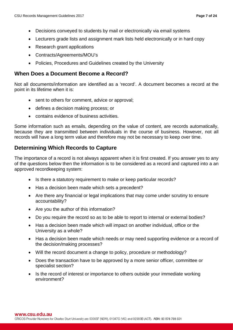- Decisions conveyed to students by mail or electronically via email systems
- Lecturers grade lists and assignment mark lists held electronically or in hard copy
- Research grant applications
- Contracts/Agreements/MOU's
- Policies, Procedures and Guidelines created by the University

### <span id="page-6-0"></span>**When Does a Document Become a Record?**

Not all documents/information are identified as a 'record'. A document becomes a record at the point in its lifetime when it is:

- sent to others for comment, advice or approval;
- defines a decision making process; or
- contains evidence of business activities.

Some information such as emails, depending on the value of content, are records automatically, because they are transmitted between individuals in the course of business. However, not all records will have a long term value and therefore may not be necessary to keep over time.

# <span id="page-6-1"></span>**Determining Which Records to Capture**

The importance of a record is not always apparent when it is first created. If you answer yes to any of the questions below then the information is to be considered as a record and captured into a an approved recordkeeping system:

- Is there a statutory requirement to make or keep particular records?
- Has a decision been made which sets a precedent?
- Are there any financial or legal implications that may come under scrutiny to ensure accountability?
- Are you the author of this information?
- Do you require the record so as to be able to report to internal or external bodies?
- Has a decision been made which will impact on another individual, office or the University as a whole?
- Has a decision been made which needs or may need supporting evidence or a record of the decision/making processes?
- Will the record document a change to policy, procedure or methodology?
- Does the transaction have to be approved by a more senior officer, committee or specialist section?
- Is the record of interest or importance to others outside your immediate working environment?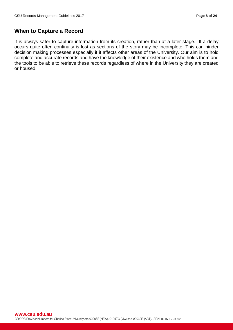# <span id="page-7-0"></span>**When to Capture a Record**

It is always safer to capture information from its creation, rather than at a later stage. If a delay occurs quite often continuity is lost as sections of the story may be incomplete. This can hinder decision making processes especially if it affects other areas of the University. Our aim is to hold complete and accurate records and have the knowledge of their existence and who holds them and the tools to be able to retrieve these records regardless of where in the University they are created or housed.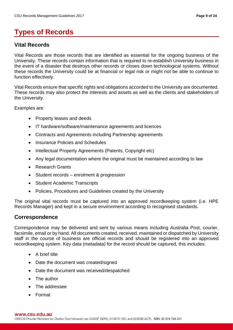# <span id="page-8-0"></span>**Types of Records**

# <span id="page-8-1"></span>**Vital Records**

Vital Records are those records that are identified as essential for the ongoing business of the University. These records contain information that is required to re-establish University business in the event of a disaster that destroys other records or closes down technological systems. Without these records the University could be at financial or legal risk or might not be able to continue to function effectively.

Vital Records ensure that specific rights and obligations accorded to the University are documented. These records may also protect the interests and assets as well as the clients and stakeholders of the University.

Examples are:

- Property leases and deeds
- IT hardware/software/maintenance agreements and licences
- Contracts and Agreements including Partnership agreements
- Insurance Policies and Schedules
- Intellectual Property Agreements (Patents, Copyright etc)
- Any legal documentation where the original must be maintained according to law
- Research Grants
- Student records enrolment & progression
- Student Academic Transcripts
- Policies, Procedures and Guidelines created by the University

The original vital records must be captured into an approved recordkeeping system (i.e. HPE Records Manager) and kept in a secure environment according to recognised standards.

### <span id="page-8-2"></span>**Correspondence**

Correspondence may be delivered and sent by various means including Australia Post, courier, facsimile, email or by hand. All documents created, received, maintained or dispatched by University staff in the course of business are official records and should be registered into an approved recordkeeping system. Key data (metadata) for the record should be captured, this includes:

- A brief title
- Date the document was created/signed
- Date the document was received/despatched
- The author
- The addressee
- Format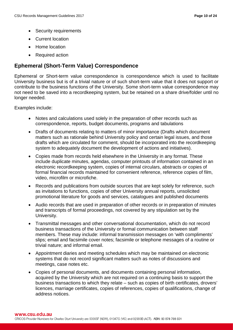- Security requirements
- Current location
- Home location
- Required action

## <span id="page-9-0"></span>**Ephemeral (Short-Term Value) Correspondence**

Ephemeral or Short-term value correspondence is correspondence which is used to facilitate University business but is of a trivial nature or of such short-term value that it does not support or contribute to the business functions of the University. Some short-term value correspondence may not need to be saved into a recordkeeping system, but be retained on a share drive/folder until no longer needed.

Examples include:

- Notes and calculations used solely in the preparation of other records such as correspondence, reports, budget documents, programs and tabulations
- Drafts of documents relating to matters of minor importance (Drafts which document matters such as rationale behind University policy and certain legal issues, and those drafts which are circulated for comment, should be incorporated into the recordkeeping system to adequately document the development of actions and initiatives).
- Copies made from records held elsewhere in the University in any format. These include duplicate minutes, agendas, computer printouts of information contained in an electronic recordkeeping system, copies of internal circulars, abstracts or copies of formal financial records maintained for convenient reference, reference copies of film, video, microfilm or microfiche.
- Records and publications from outside sources that are kept solely for reference, such as invitations to functions, copies of other University annual reports, unsolicited promotional literature for goods and services, catalogues and published documents
- Audio records that are used in preparation of other records or in preparation of minutes and transcripts of formal proceedings, not covered by any stipulation set by the University.
- Transmittal messages and other conversational documentation, which do not record business transactions of the University or formal communication between staff members. These may include: informal transmission messages on 'with compliments' slips; email and facsimile cover notes; facsimile or telephone messages of a routine or trivial nature; and informal email.
- Appointment diaries and meeting schedules which may be maintained on electronic systems that do not record significant matters such as notes of discussions and meetings, case notes etc.
- Copies of personal documents, and documents containing personal information, acquired by the University which are not required on a continuing basis to support the business transactions to which they relate – such as copies of birth certificates, drovers' licences, marriage certificates, copies of references, copies of qualifications, change of address notices.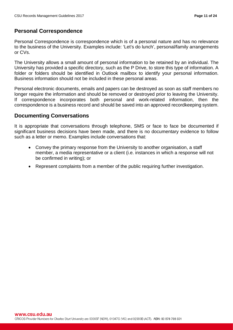# <span id="page-10-0"></span>**Personal Correspondence**

Personal Correspondence is correspondence which is of a personal nature and has no relevance to the business of the University. Examples include: 'Let's do lunch', personal/family arrangements or CVs.

The University allows a small amount of personal information to be retained by an individual. The University has provided a specific directory, such as the P Drive, to store this type of information. A folder or folders should be identified in Outlook mailbox to identify your personal information. Business information should not be included in these personal areas.

Personal electronic documents, emails and papers can be destroyed as soon as staff members no longer require the information and should be removed or destroyed prior to leaving the University. If correspondence incorporates both personal and work-related information, then the correspondence is a business record and should be saved into an approved recordkeeping system.

## <span id="page-10-1"></span>**Documenting Conversations**

It is appropriate that conversations through telephone, SMS or face to face be documented if significant business decisions have been made, and there is no documentary evidence to follow such as a letter or memo. Examples include conversations that:

- Convey the primary response from the University to another organisation, a staff member, a media representative or a client (i.e. instances in which a response will not be confirmed in writing); or
- Represent complaints from a member of the public requiring further investigation.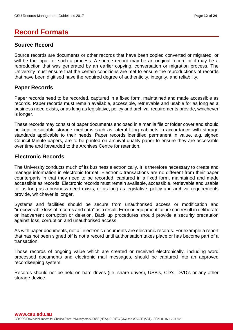# <span id="page-11-0"></span>**Record Formats**

# <span id="page-11-1"></span>**Source Record**

Source records are documents or other records that have been copied converted or migrated, or will be the input for such a process. A source record may be an original record or it may be a reproduction that was generated by an earlier copying, conversation or migration process. The University must ensure that the certain conditions are met to ensure the reproductions of records that have been digitised have the required degree of authenticity, integrity, and reliability.

# <span id="page-11-2"></span>**Paper Records**

Paper records need to be recorded, captured in a fixed form, maintained and made accessible as records. Paper records must remain available, accessible, retrievable and usable for as long as a business need exists, or as long as legislative, policy and archival requirements provide, whichever is longer.

These records may consist of paper documents enclosed in a manila file or folder cover and should be kept in suitable storage mediums such as lateral filing cabinets in accordance with storage standards applicable to their needs. Paper records identified permanent in value, e.g. signed Council Minute papers, are to be printed on archival quality paper to ensure they are accessible over time and forwarded to the Archives Centre for retention.

## <span id="page-11-3"></span>**Electronic Records**

The University conducts much of its business electronically. It is therefore necessary to create and manage information in electronic format. Electronic transactions are no different from their paper counterparts in that they need to be recorded, captured in a fixed form, maintained and made accessible as records. Electronic records must remain available, accessible, retrievable and usable for as long as a business need exists, or as long as legislative, policy and archival requirements provide, whichever is longer.

Systems and facilities should be secure from unauthorised access or modification and "irrecoverable loss of records and data" as a result. Error or equipment failure can result in deliberate or inadvertent corruption or deletion. Back up procedures should provide a security precaution against loss, corruption and unauthorised access.

As with paper documents, not all electronic documents are electronic records. For example a report that has not been signed off is not a record until authorisation takes place or has become part of a transaction.

Those records of ongoing value which are created or received electronically, including word processed documents and electronic mail messages, should be captured into an approved recordkeeping system.

Records should not be held on hard drives (i.e. share drives), USB's, CD's, DVD's or any other storage device.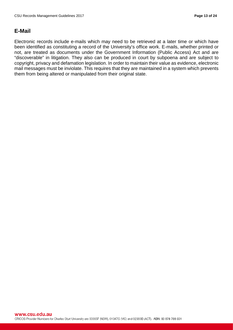# <span id="page-12-0"></span>**E-Mail**

Electronic records include e-mails which may need to be retrieved at a later time or which have been identified as constituting a record of the University's office work. E-mails, whether printed or not, are treated as documents under the Government Information (Public Access) Act and are "discoverable" in litigation. They also can be produced in court by subpoena and are subject to copyright, privacy and defamation legislation. In order to maintain their value as evidence, electronic mail messages must be inviolate. This requires that they are maintained in a system which prevents them from being altered or manipulated from their original state.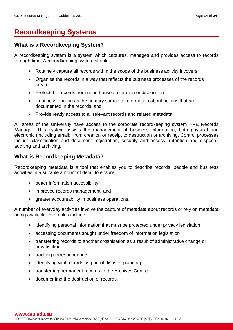# <span id="page-13-0"></span>**Recordkeeping Systems**

# <span id="page-13-1"></span>**What is a Recordkeeping System?**

A recordkeeping system is a system which captures, manages and provides access to records through time. A recordkeeping system should:

- Routinely capture all records within the scope of the business activity it covers,
- Organise the records in a way that reflects the business processes of the records creator
- Protect the records from unauthorised alteration or disposition
- Routinely function as the primary source of information about actions that are documented in the records, and
- Provide ready access to all relevant records and related metadata.

All areas of the University have access to the corporate recordkeeping system HPE Records Manager. This system assists the management of business information, both physical and electronic (including email), from creation or receipt to destruction or archiving. Control processes include classification and document registration, security and access, retention and disposal, auditing and archiving.

# <span id="page-13-2"></span>**What is Recordkeeping Metadata?**

Recordkeeping metadata is a tool that enables you to describe records, people and business activities in a suitable amount of detail to ensure:

- better information accessibility
- improved records management, and
- greater accountability in business operations.

A number of everyday activities involve the capture of metadata about records or rely on metadata being available. Examples include:

- identifying personal information that must be protected under privacy legislation
- accessing documents sought under freedom of information legislation
- transferring records to another organisation as a result of administrative change or privatisation
- tracking correspondence
- identifying vital records as part of disaster planning
- transferring permanent records to the Archives Centre
- documenting the destruction of records.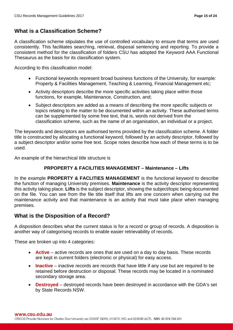# <span id="page-14-0"></span>**What is a Classification Scheme?**

A classification scheme stipulates the use of controlled vocabulary to ensure that terms are used consistently. This facilitates searching, retrieval, disposal sentencing and reporting. To provide a consistent method for the classification of folders CSU has adopted the Keyword AAA Functional Thesaurus as the basis for its classification system.

According to this classification model:

- Functional keywords represent broad business functions of the University, for example: Property & Facilities Management, Teaching & Learning, Financial Management etc;
- Activity descriptors describe the more specific activities taking place within those functions, for example, Maintenance, Construction, and;
- Subject descriptors are added as a means of describing the more specific subjects or topics relating to the matter to be documented within an activity. These authorised terms can be supplemented by some free text, that is, words not derived from the classification scheme, such as the name of an organisation, an individual or a project.

The keywords and descriptors are authorised terms provided by the classification scheme. A folder title is constructed by allocating a functional keyword, followed by an activity descriptor, followed by a subject descriptor and/or some free text. Scope notes describe how each of these terms is to be used.

An example of the hierarchical title structure is

#### **PRPOPERTY & FACILITIES MANAGEMENT – Maintenance – Lifts**

In the example **PROPERTY & FACLITIES MANAGEMENT** is the functional keyword to describe the function of managing University premises. **Maintenance** is the activity descriptor representing this activity taking place. **Lifts** is the subject descriptor, showing the subject/topic being documented on the file. You can see from the file title itself that lifts are one concern when carrying out the maintenance activity and that maintenance is an activity that must take place when managing premises.

## <span id="page-14-1"></span>**What is the Disposition of a Record?**

A disposition describes what the current status is for a record or group of records. A disposition is another way of categorising records to enable easier retrievability of records.

These are broken up into 4 categories:

- **Active** active records are ones that are used on a day to day basis. These records are kept in current folders (electronic or physical) for easy access.
- **Inactive** inactive records are records that have little if any use but are required to be retained before destruction or disposal. These records may be located in a nominated secondary storage area.
- **Destroyed** destroyed records have been destroyed in accordance with the GDA's set by State Records NSW.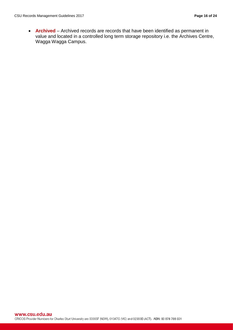• **Archived** – Archived records are records that have been identified as permanent in value and located in a controlled long term storage repository i.e. the Archives Centre, Wagga Wagga Campus.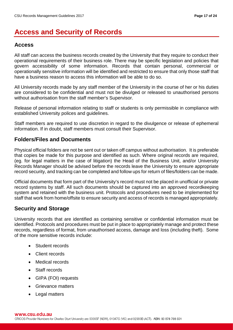# <span id="page-16-0"></span>**Access and Security of Records**

# <span id="page-16-1"></span>**Access**

All staff can access the business records created by the University that they require to conduct their operational requirements of their business role. There may be specific legislation and policies that govern accessibility of some information. Records that contain personal, commercial or operationally sensitive information will be identified and restricted to ensure that only those staff that have a business reason to access this information will be able to do so.

All University records made by any staff member of the University in the course of her or his duties are considered to be confidential and must not be divulged or released to unauthorised persons without authorisation from the staff member's Supervisor.

Release of personal information relating to staff or students is only permissible in compliance with established University polices and guidelines.

Staff members are required to use discretion in regard to the divulgence or release of ephemeral information. If in doubt, staff members must consult their Supervisor.

# <span id="page-16-2"></span>**Folders/Files and Documents**

Physical official folders are not be sent out or taken off campus without authorisation. It is preferable that copies be made for this purpose and identified as such. Where original records are required, (eg. for legal matters in the case of litigation) the Head of the Business Unit, and/or University Records Manager should be advised before the records leave the University to ensure appropriate record security, and tracking can be completed and follow ups for return of files/folders can be made.

Official documents that form part of the University's record must not be placed in unofficial or private record systems by staff. All such documents should be captured into an approved recordkeeping system and retained with the business unit. Protocols and procedures need to be implemented for staff that work from home/offsite to ensure security and access of records is managed appropriately.

# <span id="page-16-3"></span>**Security and Storage**

University records that are identified as containing sensitive or confidential information must be identified. Protocols and procedures must be put in place to appropriately manage and protect these records, regardless of format, from unauthorised access, damage and loss (including theft). Some of the more sensitive records include:

- Student records
- Client records
- Medical records
- Staff records
- GIPA (FOI) requests
- Grievance matters
- Legal matters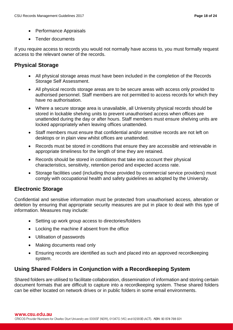- Performance Appraisals
- Tender documents

If you require access to records you would not normally have access to, you must formally request access to the relevant owner of the records.

# <span id="page-17-0"></span>**Physical Storage**

- All physical storage areas must have been included in the completion of the Records Storage Self Assessment.
- All physical records storage areas are to be secure areas with access only provided to authorised personnel. Staff members are not permitted to access records for which they have no authorisation.
- Where a secure storage area is unavailable, all University physical records should be stored in lockable shelving units to prevent unauthorised access when offices are unattended during the day or after hours. Staff members must ensure shelving units are locked appropriately when leaving offices unattended.
- Staff members must ensure that confidential and/or sensitive records are not left on desktops or in plain view whilst offices are unattended.
- Records must be stored in conditions that ensure they are accessible and retrievable in appropriate timeliness for the length of time they are retained.
- Records should be stored in conditions that take into account their physical characteristics, sensitivity, retention period and expected access rate.
- Storage facilities used (including those provided by commercial service providers) must comply with occupational health and safety guidelines as adopted by the University.

# <span id="page-17-1"></span>**Electronic Storage**

Confidential and sensitive information must be protected from unauthorised access, alteration or deletion by ensuring that appropriate security measures are put in place to deal with this type of information. Measures may include:

- Setting up work group access to directories/folders
- Locking the machine if absent from the office
- Utilisation of passwords
- Making documents read only
- Ensuring records are identified as such and placed into an approved recordkeeping system.

# <span id="page-17-2"></span>**Using Shared Folders in Conjunction with a Recordkeeping System**

Shared folders are utilised to facilitate collaboration, dissemination of information and storing certain document formats that are difficult to capture into a recordkeeping system. These shared folders can be either located on network drives or in public folders in some email environments.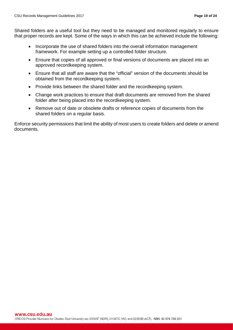Shared folders are a useful tool but they need to be managed and monitored regularly to ensure that proper records are kept. Some of the ways in which this can be achieved include the following:

- Incorporate the use of shared folders into the overall information management framework. For example setting up a controlled folder structure.
- Ensure that copies of all approved or final versions of documents are placed into an approved recordkeeping system.
- Ensure that all staff are aware that the "official" version of the documents should be obtained from the recordkeeping system.
- Provide links between the shared folder and the recordkeeping system.
- Change work practices to ensure that draft documents are removed from the shared folder after being placed into the recordkeeping system.
- Remove out of date or obsolete drafts or reference copies of documents from the shared folders on a regular basis.

Enforce security permissions that limit the ability of most users to create folders and delete or amend documents.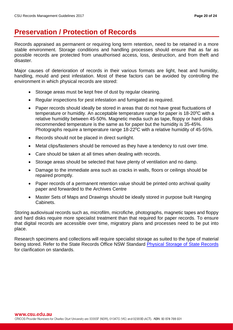# <span id="page-19-0"></span>**Preservation / Protection of Records**

Records appraised as permanent or requiring long term retention, need to be retained in a more stable environment. Storage conditions and handling processes should ensure that as far as possible records are protected from unauthorised access, loss, destruction, and from theft and disaster.

Major causes of deterioration of records in their various formats are light, heat and humidity, handling, mould and pest infestation. Most of these factors can be avoided by controlling the environment in which physical records are stored:

- Storage areas must be kept free of dust by regular cleaning.
- Regular inspections for pest infestation and fumigated as required.
- Paper records should ideally be stored in areas that do not have great fluctuations of temperature or humidity. An acceptable temperature range for paper is  $18{\text -}20^{\circ}$ C with a relative humidity between 45-50%. Magnetic media such as tape, floppy or hard disks recommended temperature is the same as for paper but the humidity is 35-45%. Photographs require a temperature range 18-22<sup>o</sup>C with a relative humidity of 45-55%.
- Records should not be placed in direct sunlight.
- Metal clips/fasteners should be removed as they have a tendency to rust over time.
- Care should be taken at all times when dealing with records.
- Storage areas should be selected that have plenty of ventilation and no damp.
- Damage to the immediate area such as cracks in walls, floors or ceilings should be repaired promptly.
- Paper records of a permanent retention value should be printed onto archival quality paper and forwarded to the Archives Centre
- Master Sets of Maps and Drawings should be ideally stored in purpose built Hanging Cabinets.

Storing audiovisual records such as, microfilm, microfiche, photographs, magnetic tapes and floppy and hard disks require more specialist treatment than that required for paper records. To ensure that digital records are accessible over time, migratory plans and processes need to be put into place.

Research specimens and collections will require specialist storage as suited to the type of material being stored. Refer to the State Records Office NSW Standard [Physical Storage of State Records](https://www.records.nsw.gov.au/recordkeeping/standard-the-physical-storage-state-records) for clarification on standards.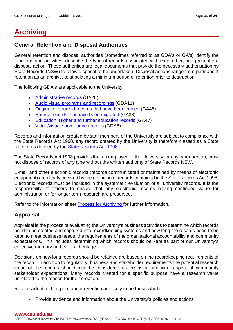# <span id="page-20-0"></span>**Archiving**

# <span id="page-20-1"></span>**General Retention and Disposal Authorities**

General retention and disposal authorities (sometimes referred to as GDA's or GA's) identify the functions and activities, describe the type of records associated with each other, and prescribe a disposal action. These authorities are legal documents that provide the necessary authorisation by State Records (NSW) to allow disposal to be undertaken. Disposal actions range from permanent retention as an archive, to stipulating a minimum period of retention prior to destruction.

The following GDA's are applicable to the University:

- [Administrative records](https://www.records.nsw.gov.au/recordkeeping/rules/gdas/ga28) (GA28)
- [Audio visual programs and recordings](https://www.records.nsw.gov.au/recordkeeping/rules/gdas/gda11) (GDA11)
- [Original or sourced records that have been copied \(](https://www.records.nsw.gov.au/recordkeeping/original-or-source-records-have-been-copied-ga45)GA45)
- [Source records that have been migrated](https://www.records.nsw.gov.au/recordkeeping/source-records-have-been-migrated-ga33) (GA33)
- [Education: Higher and further education records](https://www.records.nsw.gov.au/recordkeeping/education%3A-higher-and-further-education-records) (GA47)
- [Video/visual surveillance records](https://www.records.nsw.gov.au/recordkeeping/videovisual-surveillance-records-gda8) (GDA8)

Records and information created by staff members of the University are subject to compliance with the State Records Act 1998*,* any record created by the University is therefore classed as a State Record as defined by the [State Records Act 1998.](http://www.records.nsw.gov.au/about-us/state-records-act-1998/state-records-act-1998)

The State Records Act 1998 provides that an employee of the University, or any other person, must not dispose of records of any type without the written authority of State Records NSW.

E-mail and other electronic records (records communicated or maintained by means of electronic equipment) are clearly covered by the definition of records contained in the State Records Act 1998. Electronic records must be included in the systematic evaluation of all university records. It is the responsibility of officers to ensure that any electronic records having continued value for administration or for longer term research are preserved.

Refer to the information sheet [Process for Archiving f](http://www.csu.edu.au/division/vcoffice/ogca/complaints-and-records/records-management/policies-and-procedures)or further information.

# <span id="page-20-2"></span>**Appraisal**

Appraisal is the process of evaluating the University's business activities to determine which records need to be created and captured into recordkeeping systems and how long the records need to be kept, to meet business needs, the requirements of the organisational accountability and community expectations. This includes determining which records should be kept as part of our University's collective memory and cultural heritage.

Decisions on how long records should be retained are based on the recordkeeping requirements of the record. In addition to regulatory, business and stakeholder requirements the potential research value of the records should also be considered as this is a significant aspect of community stakeholder expectations. Many records created for a specific purpose have a research value unrelated to the reason for their creation.

Records identified for permanent retention are likely to be those which:

• Provide evidence and information about the University's policies and actions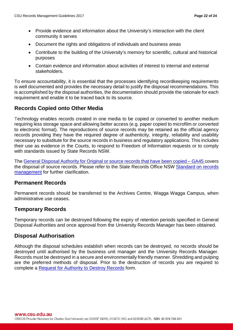- Provide evidence and information about the University's interaction with the client community it serves
- Document the rights and obligations of individuals and business areas
- Contribute to the building of the University's memory for scientific, cultural and historical purposes
- Contain evidence and information about activities of interest to internal and external stakeholders.

To ensure accountability, it is essential that the processes identifying recordkeeping requirements is well documented and provides the necessary detail to justify the disposal recommendations. This is accomplished by the disposal authorities, the documentation should provide the rationale for each requirement and enable it to be traced back to its source.

# <span id="page-21-0"></span>**Records Copied onto Other Media**

Technology enables records created in one media to be copied or converted to another medium requiring less storage space and allowing better access (e.g. paper copied to microfilm or converted to electronic format). The reproductions of source records may be retained as the official agency records providing they have the required degree of authenticity, integrity, reliability and usability necessary to substitute for the source records in business and regulatory applications. This includes their use as evidence in the Courts, to respond to Freedom of Information requests or to comply with standards issued by State Records NSW.

The [General Disposal Authority for Original or source records that have been copied – GA45 c](https://www.records.nsw.gov.au/recordkeeping/original-or-source-records-have-been-copied-ga45)overs the disposal of source records. Please refer to the State Records Office NSW [Standard on records](http://www.records.nsw.gov.au/recordkeeping/rules/standards/records-management)  [management](http://www.records.nsw.gov.au/recordkeeping/rules/standards/records-management) for further clarification.

### <span id="page-21-1"></span>**Permanent Records**

Permanent records should be transferred to the Archives Centre, Wagga Wagga Campus, when administrative use ceases.

## <span id="page-21-2"></span>**Temporary Records**

Temporary records can be destroyed following the expiry of retention periods specified in General Disposal Authorities and once approval from the University Records Manager has been obtained.

## <span id="page-21-3"></span>**Disposal Authorisation**

Although the disposal schedules establish when records can be destroyed, no records should be destroyed until authorised by the business unit manager and the University Records Manager. Records must be destroyed in a secure and environmentally friendly manner. Shredding and pulping are the preferred methods of disposal. Prior to the destruction of records you are required to complete a [Request for Authority to Destroy Records](http://www.csu.edu.au/division/vcoffice/ogca/complaints-and-records/records-management/archiving-and-destroying-records) form.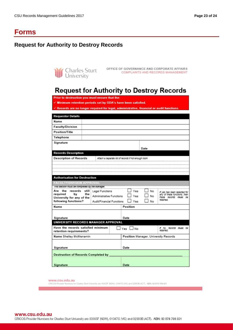# <span id="page-22-0"></span>**Forms**

# <span id="page-22-1"></span>**Request for Authority to Destroy Records**



OFFICE OF GOVERNANCE AND CORPORATE AFFAIRS Charles Sturt OFFICE OF GOVERNANCE AND CORPORATE AFFAIRS<br>University

# **Request for Authority to Destroy Records**

Prior to destruction you must ensure that the

 $\checkmark$  Minimum retention periods set by GDA's have been satisfied.

Records are no longer required for legal, administrative, financial or audit functions.

| <b>Requestor Details</b>                      |                                                      |                                      |      |                                                       |  |
|-----------------------------------------------|------------------------------------------------------|--------------------------------------|------|-------------------------------------------------------|--|
| Name                                          |                                                      |                                      |      |                                                       |  |
| <b>Faculty/Division</b>                       |                                                      |                                      |      |                                                       |  |
| Position/Title                                |                                                      |                                      |      |                                                       |  |
| Telephone                                     |                                                      |                                      |      |                                                       |  |
| Signature                                     |                                                      |                                      |      |                                                       |  |
|                                               |                                                      |                                      | Date |                                                       |  |
| <b>Records Description</b>                    |                                                      |                                      |      |                                                       |  |
| <b>Description of Records</b>                 | Attach a separate list of records if not enough room |                                      |      |                                                       |  |
|                                               |                                                      |                                      |      |                                                       |  |
|                                               |                                                      |                                      |      |                                                       |  |
|                                               |                                                      |                                      |      |                                                       |  |
| <b>Authorisation for Destruction</b>          |                                                      |                                      |      |                                                       |  |
| <b>FACULTY/DIVISION APPROVAL</b>              |                                                      |                                      |      |                                                       |  |
| This second must be completed by the manager. |                                                      |                                      |      |                                                       |  |
| Are the records<br>the                        | still   Legal Functions                              | Yes                                  | No   | If yes has been selected for                          |  |
| required<br>bv<br>University for any of the   | <b>Administrative Functions</b>                      | Yes                                  | No   | any of these functions, then<br>these records must be |  |
| following functions?                          | Audit/Financial Functions                            | ⊥ Yes                                | No   | retained                                              |  |
| Name                                          |                                                      | Position                             |      |                                                       |  |
|                                               |                                                      |                                      |      |                                                       |  |
| Signature                                     | Date                                                 |                                      |      |                                                       |  |
| UNIVERSITY RECORDS MANAGER APPROVAL           |                                                      |                                      |      |                                                       |  |
| Have the records satisfied minimum            |                                                      | ]Yes □No                             |      | If no. records must be                                |  |
| retention requirements?                       |                                                      |                                      |      | retained.                                             |  |
| Name Shelley McMenamin                        |                                                      | Position Manager, University Records |      |                                                       |  |
|                                               |                                                      |                                      |      |                                                       |  |
| Signature<br>Date                             |                                                      |                                      |      |                                                       |  |
|                                               |                                                      |                                      |      |                                                       |  |
| <b>Destruction of Records Completed by</b>    |                                                      |                                      |      |                                                       |  |
|                                               |                                                      |                                      |      |                                                       |  |
| Signature                                     |                                                      | Date                                 |      |                                                       |  |

www.csu.edu.au

CRICOS Provider Numbers for Charles Sturt University are 00005F (NSW), 01947G (VIC) and 02960B (ACT). ABN: 83 878 708 551